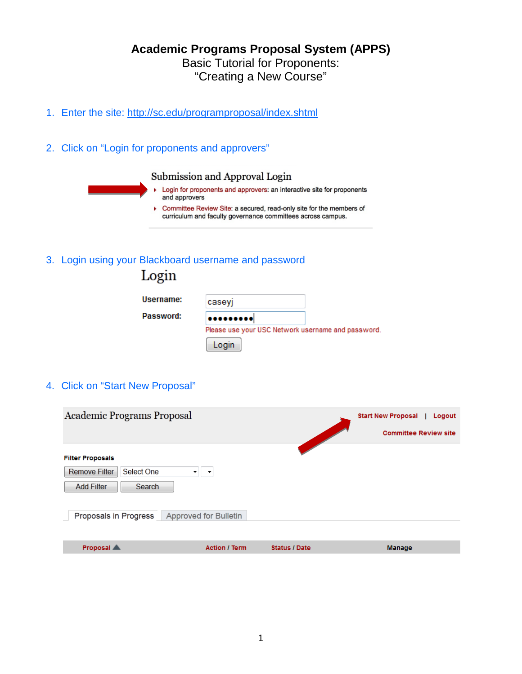# **Academic Programs Proposal System (APPS)** Basic Tutorial for Proponents: "Creating a New Course"

- 1. Enter the site: <http://sc.edu/programproposal/index.shtml>
- 2. Click on "Login for proponents and approvers"



3. Login using your Blackboard username and password

| Login     |                                                    |  |
|-----------|----------------------------------------------------|--|
| Username: | caseyj                                             |  |
| Password: | $•••••••••••$                                      |  |
|           | Please use your USC Network username and password. |  |
|           | Login                                              |  |

4. Click on "Start New Proposal"

| Academic Programs Proposal                                                                   |                       |                      | <b>Start New Proposal</b><br>Logout |
|----------------------------------------------------------------------------------------------|-----------------------|----------------------|-------------------------------------|
|                                                                                              |                       |                      | <b>Committee Review site</b>        |
| <b>Filter Proposals</b><br>Select One<br><b>Remove Filter</b><br><b>Add Filter</b><br>Search | ▼                     |                      |                                     |
| Proposals in Progress                                                                        | Approved for Bulletin |                      |                                     |
|                                                                                              |                       |                      |                                     |
| Proposal A                                                                                   | <b>Action / Term</b>  | <b>Status / Date</b> | Manage                              |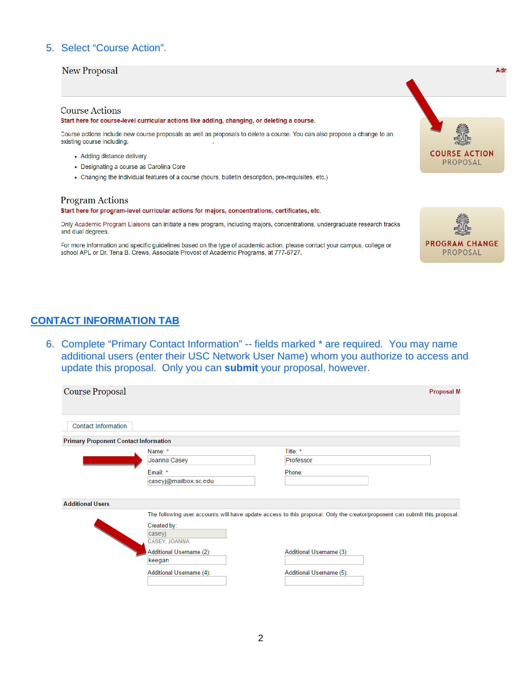## 5. Select "Course Action".

### **New Proposal**

### **Course Actions**

#### Start here for course-level curricular actions like adding, changing, or deleting a course.

Course actions include new course proposals as well as proposals to delete a course. You can also propose a change to an existing course including:

- Adding distance delivery
- Designating a course as Carolina Core
- Changing the individual features of a course (hours, bulletin description, pre-requisites, etc.)

### **Program Actions**

#### Start here for program-level curricular actions for majors, concentrations, certificates, etc.

Only Academic Program Liaisons can initiate a new program, including majors, concentrations, undergraduate research tracks and dual degrees.

For more information and specific guidelines based on the type of academic action, please contact your campus, college or school APL or Dr. Tena B. Crews, Associate Provost of Academic Programs, at 777-6727.



6. Complete "Primary Contact Information" -- fields marked \* are required. You may name additional users (enter their USC Network User Name) whom you authorize to access and update this proposal. Only you can submit your proposal, however.

| Course Proposal                              |                                        |                                                                                                                            | <b>Proposal M</b> |
|----------------------------------------------|----------------------------------------|----------------------------------------------------------------------------------------------------------------------------|-------------------|
| <b>Contact Information</b>                   |                                        |                                                                                                                            |                   |
| <b>Primary Proponent Contact Information</b> |                                        |                                                                                                                            |                   |
|                                              | Name: *<br>Joanna Casey<br>Email: *    | Title: *<br>Professor<br>Phone:                                                                                            |                   |
|                                              | caseyj@mailbox.sc.edu                  |                                                                                                                            |                   |
| <b>Additional Users</b>                      |                                        |                                                                                                                            |                   |
|                                              | Created by:<br>caseyj<br>CASEY, JOANNA | The following user accounts will have update access to this proposal. Only the creator/proponent can submit this proposal. |                   |
|                                              | Additional Username (2):<br>keegan     | Additional Username (3):                                                                                                   |                   |
|                                              | Additional Username (4):               | Additional Username (5):                                                                                                   |                   |



Adr

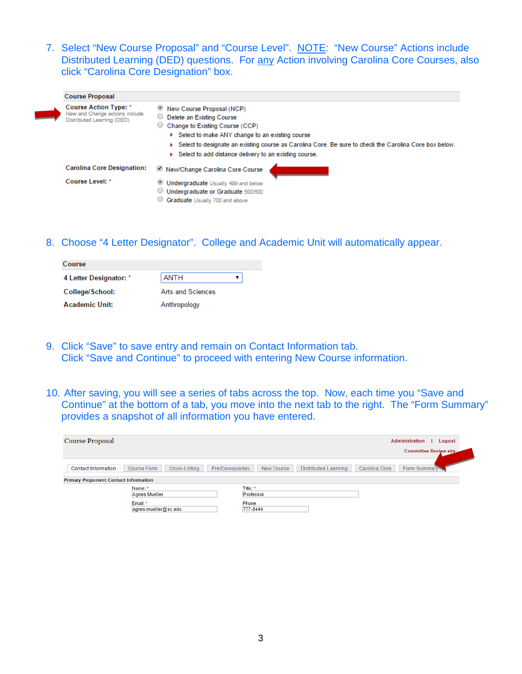7. Select "New Course Proposal" and "Course Level". NOTE: "New Course" Actions include Distributed Learning (DED) questions. For any Action involving Carolina Core Courses, also click "Carolina Core Designation" box.

| <b>Course Proposal</b>                                                                       |                                                                                                                                                                                                                                                                                                                                            |
|----------------------------------------------------------------------------------------------|--------------------------------------------------------------------------------------------------------------------------------------------------------------------------------------------------------------------------------------------------------------------------------------------------------------------------------------------|
| <b>Course Action Type: *</b><br>New and Change actions include<br>Distributed Learning (DED) | New Course Proposal (NCP)<br>Delete an Existing Course<br>Change to Existing Course (CCP)<br>0<br>▶ Select to make ANY change to an existing course<br>$\triangleright$ Select to designate an existing course as Carolina Core. Be sure to check the Carolina Core box below.<br>▶ Select to add distance delivery to an existing course. |
| <b>Carolina Core Designation:</b>                                                            | New/Change Carolina Core Course                                                                                                                                                                                                                                                                                                            |
| Course Level: *                                                                              | Undergraduate Usually 499 and below                                                                                                                                                                                                                                                                                                        |
|                                                                                              | Undergraduate or Graduate 500/600                                                                                                                                                                                                                                                                                                          |
|                                                                                              | Graduate Usually 700 and above                                                                                                                                                                                                                                                                                                             |

8. Choose "4 Letter Designator". College and Academic Unit will automatically appear.

| Course                 |                   |  |
|------------------------|-------------------|--|
| 4 Letter Designator: * | <b>ANTH</b>       |  |
| College/School:        | Arts and Sciences |  |
| Academic Unit:         | Anthropology      |  |

- 9. Click "Save" to save entry and remain on Contact Information tab. Click "Save and Continue" to proceed with entering New Course information.
- 10. After saving, you will see a series of tabs across the top. Now, each time you "Save and Continue" at the bottom of a tab, you move into the next tab to the right. The "Form Summary" provides a snapshot of all information you have entered.

| Course Proposal                                            | Administration<br>Logout                                                                       |
|------------------------------------------------------------|------------------------------------------------------------------------------------------------|
|                                                            | Committee Review site                                                                          |
| Course Form<br>Cross-Listing<br><b>Contact Information</b> | Form Summary<br><b>Distributed Learning</b><br>Carolina Core<br>New Course<br>Pre/Corequisites |
| <b>Primary Proponent Contact Information</b>               |                                                                                                |
| Name: *<br>Agnes Mueller                                   | Title: *<br>Professor                                                                          |
| Email: *<br>agnes.mueller@sc.edu                           | Phone:<br>777-8444                                                                             |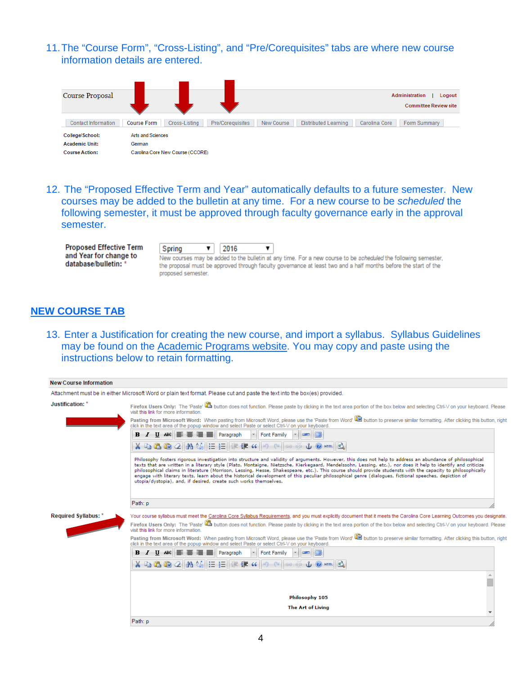## 11.The "Course Form", "Cross-Listing", and "Pre/Corequisites" tabs are where new course information details are entered.



12. The "Proposed Effective Term and Year" automatically defaults to a future semester. New courses may be added to the bulletin at any time. For a new course to be *scheduled* the following semester, it must be approved through faculty governance early in the approval semester.

| <b>Proposed Effective Term</b> | Spring             | 2016 |  |                                                                                                                 |  |
|--------------------------------|--------------------|------|--|-----------------------------------------------------------------------------------------------------------------|--|
| and Year for change to         |                    |      |  | New courses may be added to the bulletin at any time. For a new course to be scheduled the following semester,  |  |
| database/bulletin: *           | proposed semester. |      |  | the proposal must be approved through faculty governance at least two and a half months before the start of the |  |

## **NEW COURSE TAB**

13. Enter a Justification for creating the new course, and import a syllabus. Syllabus Guidelines may be found on the [Academic](http://www.sc.edu/provost/acadprog/forms/syllabus-guide.shtml) Programs website. You may copy and paste using the instructions below to retain formatting.

| <b>New Course Information</b> |                                                                                                                                                                                                                                                                                                                                                                                                                                                                                                                                                                                                                                                                                                                      |
|-------------------------------|----------------------------------------------------------------------------------------------------------------------------------------------------------------------------------------------------------------------------------------------------------------------------------------------------------------------------------------------------------------------------------------------------------------------------------------------------------------------------------------------------------------------------------------------------------------------------------------------------------------------------------------------------------------------------------------------------------------------|
|                               | Attachment must be in either Microsoft Word or plain text format. Please cut and paste the text into the box(es) provided.                                                                                                                                                                                                                                                                                                                                                                                                                                                                                                                                                                                           |
| Justification: *              | Firefox Users Only: The 'Paste' La button does not function. Please paste by clicking in the text area portion of the box below and selecting Ctrl-V on your keyboard. Please<br>visit this link for more information                                                                                                                                                                                                                                                                                                                                                                                                                                                                                                |
|                               | Pasting from Microsoft Word: When pasting from Microsoft Word, please use the 'Paste from Word' Lib button to preserve similar formatting. After clicking this button, right<br>click in the text area of the popup window and select Paste or select Ctrl-V on your keyboard.                                                                                                                                                                                                                                                                                                                                                                                                                                       |
|                               | <b>B</b> $I$ U ABC $\equiv \equiv \equiv \equiv$ Paragraph<br><b>Font Family</b>                                                                                                                                                                                                                                                                                                                                                                                                                                                                                                                                                                                                                                     |
|                               | X 电遥的 2  AA 編  三壬  年年 4  -9 (*  ∞ ※<br>$10$ MTmL                                                                                                                                                                                                                                                                                                                                                                                                                                                                                                                                                                                                                                                                     |
|                               | Philosophy fosters rigorous investigation into structure and validity of arguments. However, this does not help to address an abundance of philosophical<br>texts that are written in a literary style (Plato, Montaigne, Nietzsche, Kierkegaard, Mendelssohn, Lessing, etc.), nor does it help to identify and criticize<br>philosophical claims in literature (Morrison, Lessing, Hesse, Shakespeare, etc.). This course should provide studensts with the capacity to philosophically<br>engage with literary texts, learn about the historical development of this peculiar philosophical genre (dialogues, fictional speeches, depiction of<br>utopia/dystopia), and, if desired, create such works themselves. |
|                               | Path: p                                                                                                                                                                                                                                                                                                                                                                                                                                                                                                                                                                                                                                                                                                              |
| <b>Required Syllabus: *</b>   | Your course syllabus must meet the Carolina Core Syllabus Requirements, and you must explicitly document that it meets the Carolina Core Learning Outcomes you designate.<br>Firefox Users Only: The 'Paste' La button does not function. Please paste by clicking in the text area portion of the box below and selecting Ctrl-V on your keyboard. Please<br>visit this link for more information.<br>Pasting from Microsoft Word: When pasting from Microsoft Word, please use the 'Paste from Word' Lib button to preserve similar formatting. After clicking this button, right                                                                                                                                  |
|                               | click in the text area of the popup window and select Paste or select Ctrl-V on your keyboard.<br><b>B / U 486    ま 三 三 三</b><br>$\sim$                                                                                                                                                                                                                                                                                                                                                                                                                                                                                                                                                                              |
|                               | Paragraph<br>Font Family<br>※ 『』 『L』 2    A 編   三 扫    三 信 作 4  <br>$\mathcal{L}$ $\Omega$ $H$ $\mathbb{R}$ $\mathcal{L}$<br>G2 G                                                                                                                                                                                                                                                                                                                                                                                                                                                                                                                                                                                    |
|                               |                                                                                                                                                                                                                                                                                                                                                                                                                                                                                                                                                                                                                                                                                                                      |
|                               | Philosophy 105                                                                                                                                                                                                                                                                                                                                                                                                                                                                                                                                                                                                                                                                                                       |
|                               | The Art of Living                                                                                                                                                                                                                                                                                                                                                                                                                                                                                                                                                                                                                                                                                                    |
|                               | Path: p                                                                                                                                                                                                                                                                                                                                                                                                                                                                                                                                                                                                                                                                                                              |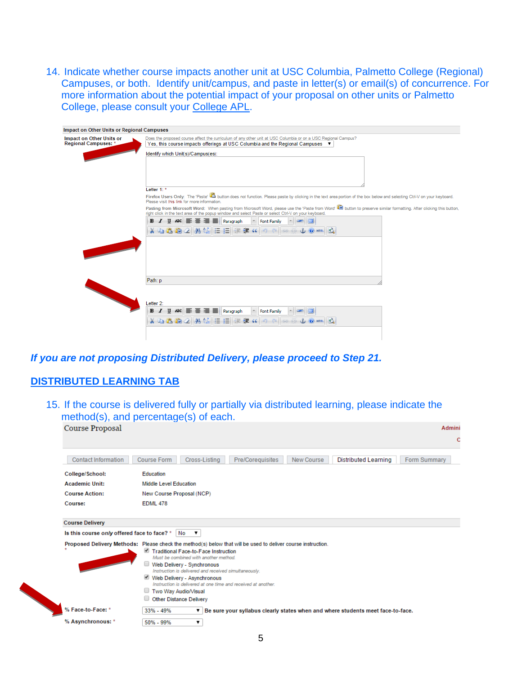14. Indicate whether course impacts another unit at USC Columbia, Palmetto College (Regional) Campuses, or both. Identify unit/campus, and paste in letter(s) or email(s) of concurrence. For more information about the potential impact of your proposal on other units or Palmetto College, please consult your [College](http://www.sc.edu/provost/acadprog/contacts/index.shtml) APL.

| Impact on Other Units or Regional Campuses              |                                                                                                                                                                                                                                                                                 |
|---------------------------------------------------------|---------------------------------------------------------------------------------------------------------------------------------------------------------------------------------------------------------------------------------------------------------------------------------|
| Impact on Other Units or<br><b>Regional Campuses: *</b> | Does the proposed course affect the curriculum of any other unit at USC Columbia or on a USC Regional Campus?<br>Yes, this course impacts offerings at USC Columbia and the Regional Campuses ▼                                                                                 |
|                                                         | Identify which Unit(s)/Campus(es):                                                                                                                                                                                                                                              |
|                                                         | Letter $1:$ *                                                                                                                                                                                                                                                                   |
|                                                         | Firefox Users Only: The 'Paste' ab button does not function. Please paste by clicking in the text area portion of the box below and selecting Ctrl-V on your keyboard.<br>Please visit this link for more information.                                                          |
|                                                         | Pasting from Microsoft Word: When pasting from Microsoft Word, please use the 'Paste from Word' (20) button to preserve similar formatting. After clicking this button,<br>right click in the text area of the popup window and select Paste or select Ctrl-V on your keyboard. |
|                                                         | <b>B</b> <i>I</i> U ABC   三 三 三   Paragraph<br>Font Family                                                                                                                                                                                                                      |
|                                                         | ※ む 遇 脑 2   船 徳   田 田 伊 建 4   つ (= ) ※<br>$0$ $m \leq$                                                                                                                                                                                                                          |
| <b>CONTRACTOR</b>                                       |                                                                                                                                                                                                                                                                                 |
|                                                         | Path: p                                                                                                                                                                                                                                                                         |
|                                                         | Letter 2:<br><b>B</b> <i>I</i> U ABC 三三三三四<br><b>Font Family</b><br>X & B B 2 A (A E E I<br>$E = 4$ $(6 \mid 4)$ (2 $\mid 60$<br>$\n  u$ $\n  u$                                                                                                                                |
|                                                         |                                                                                                                                                                                                                                                                                 |

# *If you are not proposing Distributed Delivery, please proceed to Step 21.*

## **DISTRIBUTED LEARNING TAB**

15. If the course is delivered fully or partially via distributed learning, please indicate the method(s), and percentage(s) of each.

| Course Proposal                             | Admini                                                                                                                                                                                                                                                                                                                                                                                                                                         |
|---------------------------------------------|------------------------------------------------------------------------------------------------------------------------------------------------------------------------------------------------------------------------------------------------------------------------------------------------------------------------------------------------------------------------------------------------------------------------------------------------|
|                                             | C                                                                                                                                                                                                                                                                                                                                                                                                                                              |
| <b>Contact Information</b>                  | Cross-Listing<br><b>Distributed Learning</b><br>Form Summary<br><b>Course Form</b><br>Pre/Coreguisites<br>New Course                                                                                                                                                                                                                                                                                                                           |
| College/School:                             | Education                                                                                                                                                                                                                                                                                                                                                                                                                                      |
| <b>Academic Unit:</b>                       | Middle Level Education                                                                                                                                                                                                                                                                                                                                                                                                                         |
| <b>Course Action:</b>                       | New Course Proposal (NCP)                                                                                                                                                                                                                                                                                                                                                                                                                      |
| Course:                                     | <b>EDML 478</b>                                                                                                                                                                                                                                                                                                                                                                                                                                |
|                                             |                                                                                                                                                                                                                                                                                                                                                                                                                                                |
| <b>Course Delivery</b>                      |                                                                                                                                                                                                                                                                                                                                                                                                                                                |
| Is this course only offered face to face? * | No<br>$\mathbf{v}$                                                                                                                                                                                                                                                                                                                                                                                                                             |
|                                             | Proposed Delivery Methods: Please check the method(s) below that will be used to deliver course instruction.<br>Traditional Face-to-Face Instruction<br>Must be combined with another method.<br>Web Delivery - Synchronous<br>Instruction is delivered and received simultaneously.<br>Web Delivery - Asynchronous<br>Instruction is delivered at one time and received at another.<br>Two Way Audio/Visual<br><b>Other Distance Delivery</b> |
| % Face-to-Face: *                           | 33% - 49%<br>Be sure your syllabus clearly states when and where students meet face-to-face.<br>▼                                                                                                                                                                                                                                                                                                                                              |
| % Asynchronous: *                           | 50% - 99%<br>۷.                                                                                                                                                                                                                                                                                                                                                                                                                                |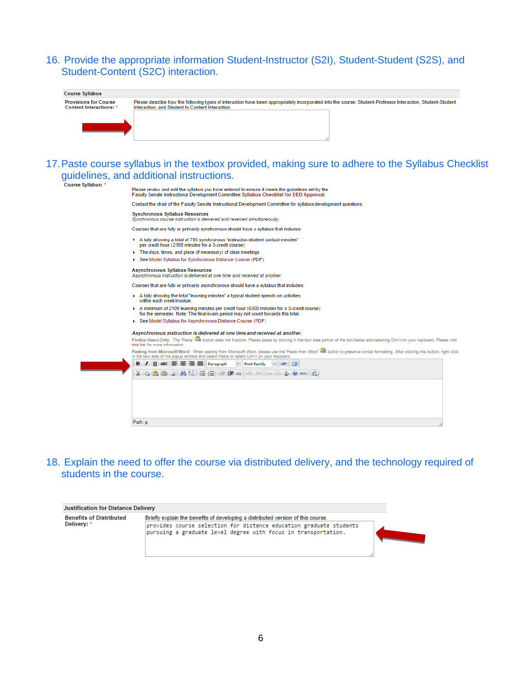# 16. Provide the appropriate information Student-Instructor (S2I), Student-Student (S2S), and Student-Content (S2C) interaction.

| <b>Course Syllabus</b>                                         |                                                                                                                                                                                                                 |
|----------------------------------------------------------------|-----------------------------------------------------------------------------------------------------------------------------------------------------------------------------------------------------------------|
| <b>Provisions for Course</b><br><b>Content Interactions: *</b> | Please describe how the following types of interaction have been appropriately incorporated into the course: Student-Professor Interaction, Student-Student<br>Interaction, and Student to Content Interaction. |
|                                                                | 17. Paste course syllabus in the textbox provided, making sure to adhere to the Syllabus Checklist                                                                                                              |
| Course Syllabus: *                                             | guidelines, and additional instructions.                                                                                                                                                                        |
|                                                                | Please review and edit the syllabus you have entered to ensure it meets the quidelines set by the<br>Faculty Senate Instructional Development Committee: Syllabus Checklist for DED Approval.                   |
|                                                                | Contact the chair of the Faculty Senate Instructional Development Committee for syllabus development questions.                                                                                                 |
|                                                                | <b>Synchronous Syllabus Resources</b><br>Synchronous course instruction is delivered and received simultaneously.                                                                                               |
|                                                                | Courses that are fully or primarily synchronous should have a syllabus that includes:                                                                                                                           |
|                                                                | A tally showing a total of 700 synchronous "instructor-student contact minutes"<br>per credit hour (2100 minutes for a 3-credit course)                                                                         |
|                                                                | The days, times, and place (if necessary) of class meetings                                                                                                                                                     |
|                                                                | See Model Syllabus for Synchronous Distance Course (PDF)                                                                                                                                                        |
|                                                                | <b>Asynchronous Syllabus Resources</b><br>Asynchronous instruction is delivered at one time and received at another.                                                                                            |
|                                                                | Courses that are fully or primarily asynchronous should have a syllabus that includes:                                                                                                                          |
|                                                                | $\triangleright$ A tally showing the total "learning minutes" a typical student spends on activities<br>within each week/module.                                                                                |
|                                                                | A minimum of 2100 learning minutes per credit hour (6300 minutes for a 3-credit course)<br>for the semester. Note: The final exam period may not count towards this total.                                      |
|                                                                | See Model Syllabus for Asynchronous Distance Course (PDF)                                                                                                                                                       |

#### Asynchronous instruction is delivered at one time and received at another.

 $\mathbf{r}$ 

Firefox Users Only: The 'Paste' and button does not function. Please paste by clicking in the text area portion of the box below and selecting Ctrl-V on your keyboard. Please visit

this link for more information.<br>Pasting from Microsoft Word: When pasting from Microsoft Word, please use the 'Paste from Word' and button to preserve similar formatting. After clicking this button, right click<br>In the text

|  | X 电压的公路法 三日年年 (9 8 8 % 10mm 5) |  |
|--|--------------------------------|--|
|  |                                |  |
|  |                                |  |
|  |                                |  |
|  |                                |  |
|  |                                |  |
|  |                                |  |

18. Explain the need to offer the course via distributed delivery, and the technology required of students in the course.

| <b>Justification for Distance Delivery</b>    |                                                                                                                                                                                                                          |
|-----------------------------------------------|--------------------------------------------------------------------------------------------------------------------------------------------------------------------------------------------------------------------------|
| <b>Benefits of Distributed</b><br>Delivery: * | Briefly explain the benefits of developing a distributed version of this course.<br>provides course selection for distance education graduate students<br>pursuing a graduate level degree with focus in transportation. |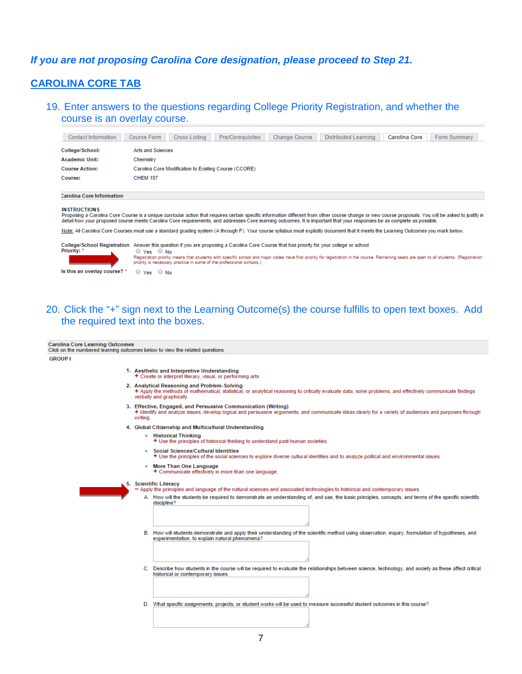## If you are not proposing Carolina Core designation, please proceed to Step 21.

## **CAROLINA CORE TAB**

19. Enter answers to the questions regarding College Priority Registration, and whether the course is an overlay course.

| <b>Contact Information</b>                              | Cross-Listing<br>Pre/Coreguisites<br><b>Change Course</b><br><b>Distributed Learning</b><br>Carolina Core<br>Form Summary<br><b>Course Form</b>                                                                                                                                                                                                                                                               |  |  |  |
|---------------------------------------------------------|---------------------------------------------------------------------------------------------------------------------------------------------------------------------------------------------------------------------------------------------------------------------------------------------------------------------------------------------------------------------------------------------------------------|--|--|--|
| College/School:                                         | Arts and Sciences                                                                                                                                                                                                                                                                                                                                                                                             |  |  |  |
| <b>Academic Unit:</b>                                   | Chemistry                                                                                                                                                                                                                                                                                                                                                                                                     |  |  |  |
| <b>Course Action:</b>                                   | Carolina Core Modification to Existing Course (CCORE)                                                                                                                                                                                                                                                                                                                                                         |  |  |  |
| Course:                                                 | <b>CHEM 107</b>                                                                                                                                                                                                                                                                                                                                                                                               |  |  |  |
| <b>Carolina Core Information</b><br><b>INSTRUCTIONS</b> | Proposing a Carolina Core Course is a unique curricular action that requires certain specific information different from other course change or new course proposals. You will be asked to justify in<br>detail how your proposed course meets Carolina Core requirements, and addresses Core learning outcomes. It is important that your responses be as complete as possible.                              |  |  |  |
|                                                         | Note: All Carolina Core Courses must use a standard grading system (A through F). Your course syllabus must explicitly document that it meets the Learning Outcomes you mark below.                                                                                                                                                                                                                           |  |  |  |
| <b>College/School Registration</b><br>Priority: *       | Answer this question if you are proposing a Carolina Core Course that has priority for your college or school<br>$\circ$ Yes $\circ$ No<br>Registration priority means that students with specific school and major codes have first priority for registration in the course. Remaining seats are open to all students. (Registration<br>priority is necessary practice in some of the professional schools.) |  |  |  |
| Is this an overlay course? *                            | $\circ$ Yes $\circ$ No                                                                                                                                                                                                                                                                                                                                                                                        |  |  |  |

## 20. Click the "+" sign next to the Learning Outcome(s) the course fulfills to open text boxes. Add the required text into the boxes.

Carolina Core Learning Outcomes

Click on the numbered learning outcomes below to view the related questions.

**GROUP L** 

- 1. Aesthetic and Interpretive Understanding Create or interpret literary, visual, or performing arts
- 2. Analytical Reasoning and Problem-Solving<br>+ Apply the methods of mathematical, statistical, or analytical reasoning to critically evaluate data, solve problems, and effectively communicate findings verbally and graphically
- 3. Effective, Engaged, and Persuasive Communication (Writing)
- I dentify and analyze issues, develop logical and persuasive arguments, and communicate ideas clearly for a variety of audiences and purposes through writing.
- 4. Global Citizenship and Multicultural Understanding
	- Historical Thinking
		- + Use the principles of historical thinking to understand past human societies.
	- Social Sciences/Cultural Identities
	- \* Use the principles of the social sciences to explore diverse cultural identities and to analyze political and environmental issues.
	- More Than One Language<br>+ Communicate effectively in more than one language.

#### 5. Scientific Literacy

- Apply the principles and language of the natural sciences and associated technologies to historical and contemporary issues
- A. How will the students be required to demonstrate an understanding of, and use, the basic principles, concepts, and terms of the specific scientific discipline?
- B. How will students demonstrate and apply their understanding of the scientific method using observation, inquiry, formulation of hypotheses, and experimentation, to explain natural phenomena?
- C. Describe how students in the course will be required to evaluate the relationships between science, technology, and society as these affect critical historical or contemporary issues.
- D. What specific assignments, projects, or student works will be used to measure successful student outcomes in this course?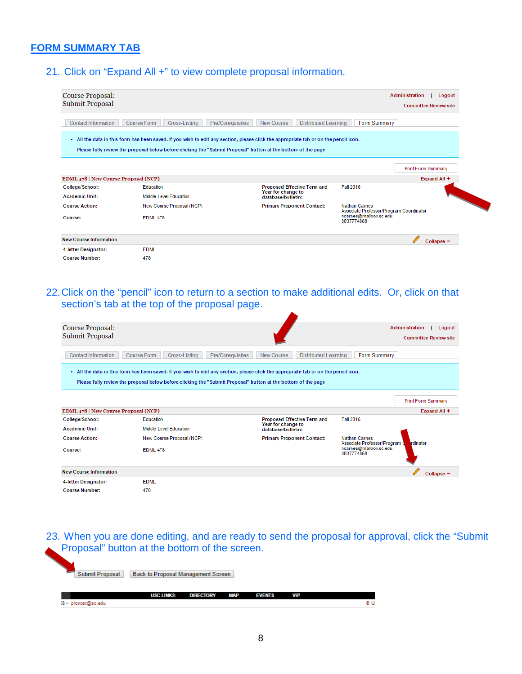# **FORM SUMMARY TAB**

21. Click on "Expand All +" to view complete proposal information.

| Course Proposal:<br>Submit Proposal  |                                                                                                                                                                                                                                                       |                                           | <b>Administration</b><br>Logout<br><b>Committee Review site</b>                 |  |  |
|--------------------------------------|-------------------------------------------------------------------------------------------------------------------------------------------------------------------------------------------------------------------------------------------------------|-------------------------------------------|---------------------------------------------------------------------------------|--|--|
| <b>Contact Information</b>           | <b>Course Form</b><br>Cross-Listina<br>Pre/Coreguisites                                                                                                                                                                                               | <b>Distributed Learning</b><br>New Course | <b>Form Summary</b>                                                             |  |  |
|                                      | . All the data in this form has been saved. If you wish to edit any section, please click the appropriate tab or on the pencil icon.<br>Please fully review the proposal below before clicking the "Submit Proposal" button at the bottom of the page |                                           |                                                                                 |  |  |
|                                      |                                                                                                                                                                                                                                                       |                                           | <b>Print Form Summary</b>                                                       |  |  |
| EDML 478   New Course Proposal (NCP) |                                                                                                                                                                                                                                                       |                                           | Expand All +                                                                    |  |  |
| College/School:                      | Education                                                                                                                                                                                                                                             | <b>Proposed Effective Term and</b>        | <b>Fall 2016</b>                                                                |  |  |
| <b>Academic Unit:</b>                | Middle Level Education                                                                                                                                                                                                                                | Year for change to<br>database/bulletin:  |                                                                                 |  |  |
| <b>Course Action:</b>                | New Course Proposal (NCP)                                                                                                                                                                                                                             | <b>Primary Proponent Contact:</b>         | <b>Nathan Carnes</b>                                                            |  |  |
|                                      |                                                                                                                                                                                                                                                       |                                           |                                                                                 |  |  |
| Course:                              | <b>EDML 478</b>                                                                                                                                                                                                                                       |                                           | Associate Professor/Program Coordinator<br>ncarnes@mailbox.sc.edu<br>8037774868 |  |  |
| <b>New Course Information</b>        |                                                                                                                                                                                                                                                       |                                           | $Collapse -$                                                                    |  |  |
| 4-letter Designator:                 | <b>EDML</b>                                                                                                                                                                                                                                           |                                           |                                                                                 |  |  |

22.Click on the "pencil" icon to return to a section to make additional edits. Or, click on that section's tab at the top of the proposal page.

| Course Proposal:<br>Submit Proposal  |                                                                                                                                      |                  |                                          |                                    |                                                                       | <b>Administration</b><br>Logout<br><b>Committee Review site</b> |
|--------------------------------------|--------------------------------------------------------------------------------------------------------------------------------------|------------------|------------------------------------------|------------------------------------|-----------------------------------------------------------------------|-----------------------------------------------------------------|
|                                      |                                                                                                                                      |                  |                                          |                                    |                                                                       |                                                                 |
| <b>Contact Information</b>           | <b>Course Form</b><br>Cross-Listing                                                                                                  | Pre/Coreguisites | New Course                               | <b>Distributed Learning</b>        | <b>Form Summary</b>                                                   |                                                                 |
|                                      | . All the data in this form has been saved. If you wish to edit any section, please click the appropriate tab or on the pencil icon. |                  |                                          |                                    |                                                                       |                                                                 |
|                                      | Please fully review the proposal below before clicking the "Submit Proposal" button at the bottom of the page                        |                  |                                          |                                    |                                                                       |                                                                 |
|                                      |                                                                                                                                      |                  |                                          |                                    |                                                                       | <b>Print Form Summary</b>                                       |
| EDML 478   New Course Proposal (NCP) |                                                                                                                                      |                  |                                          |                                    |                                                                       | Expand All +                                                    |
| College/School:                      | Education                                                                                                                            |                  |                                          | <b>Proposed Effective Term and</b> | <b>Fall 2016</b>                                                      |                                                                 |
| <b>Academic Unit:</b>                | <b>Middle Level Education</b>                                                                                                        |                  | Year for change to<br>database/bulletin: |                                    |                                                                       |                                                                 |
| <b>Course Action:</b>                | New Course Proposal (NCP)                                                                                                            |                  |                                          | <b>Primary Proponent Contact:</b>  | <b>Nathan Carnes</b>                                                  |                                                                 |
| Course:                              | <b>EDML 478</b>                                                                                                                      |                  |                                          |                                    | Associate Professor/Program 0<br>ncarnes@mailbox.sc.edu<br>8037774868 | rdinator                                                        |
| <b>New Course Information</b>        |                                                                                                                                      |                  |                                          |                                    |                                                                       | Collapse -                                                      |
| 4-letter Designator:                 | <b>EDML</b>                                                                                                                          |                  |                                          |                                    |                                                                       |                                                                 |
| <b>Course Number:</b>                | 478                                                                                                                                  |                  |                                          |                                    |                                                                       |                                                                 |

23. When you are done editing, and are ready to send the proposal for approval, click the "Submit Proposal" button at the bottom of the screen.

| Submit Proposal     | <b>Back to Proposal Management Screen</b> |                  |            |               |            |  |
|---------------------|-------------------------------------------|------------------|------------|---------------|------------|--|
|                     | <b>USC LINKS:</b>                         | <b>DIRECTORY</b> | <b>MAP</b> | <b>EVENTS</b> | <b>VIP</b> |  |
| 18 · provost@sc.edu |                                           |                  |            |               |            |  |